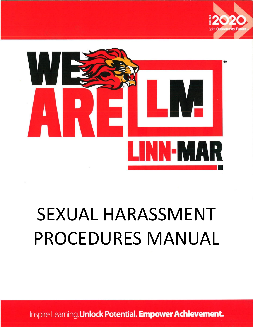



# SEXUAL HARASSMENT PROCEDURES MANUAL

Inspire Learning. Unlock Potential. Empower Achievement.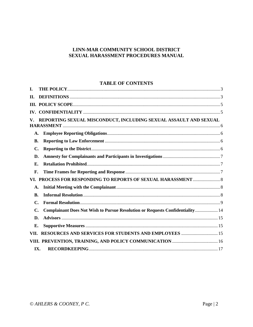## LINN-MAR COMMUNITY SCHOOL DISTRICT SEXUAL HARASSMENT PROCEDURES MANUAL

#### **TABLE OF CONTENTS**

| I.                                                                     |                                                                               |  |
|------------------------------------------------------------------------|-------------------------------------------------------------------------------|--|
| П.                                                                     |                                                                               |  |
|                                                                        |                                                                               |  |
|                                                                        |                                                                               |  |
| REPORTING SEXUAL MISCONDUCT, INCLUDING SEXUAL ASSAULT AND SEXUAL<br>V. |                                                                               |  |
|                                                                        |                                                                               |  |
| A.                                                                     |                                                                               |  |
| В.                                                                     |                                                                               |  |
| C.                                                                     |                                                                               |  |
| D.                                                                     |                                                                               |  |
| $\mathbf{E}$ .                                                         |                                                                               |  |
| F.                                                                     |                                                                               |  |
|                                                                        |                                                                               |  |
| A.                                                                     |                                                                               |  |
| <b>B.</b>                                                              |                                                                               |  |
| C.                                                                     |                                                                               |  |
| C.                                                                     | Complainant Does Not Wish to Pursue Resolution or Requests Confidentiality 14 |  |
| D.                                                                     |                                                                               |  |
| Е.                                                                     |                                                                               |  |
| VII.                                                                   | <b>RESOURCES AND SERVICES FOR STUDENTS AND EMPLOYEES  15</b>                  |  |
|                                                                        |                                                                               |  |
|                                                                        | IX.                                                                           |  |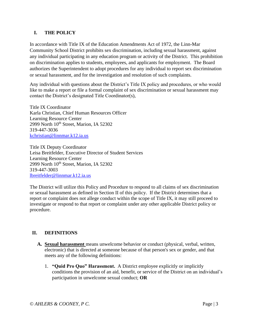# <span id="page-2-0"></span>**I. THE POLICY**

In accordance with Title IX of the Education Amendments Act of 1972, the Linn-Mar Community School District prohibits sex discrimination, including sexual harassment, against any individual participating in any education program or activity of the District. This prohibition on discrimination applies to students, employees, and applicants for employment. The Board authorizes the Superintendent to adopt procedures for any individual to report sex discrimination or sexual harassment, and for the investigation and resolution of such complaints.

Any individual with questions about the District's Title IX policy and procedures, or who would like to make a report or file a formal complaint of sex discrimination or sexual harassment may contact the District's designated Title Coordinator(s),

Title IX Coordinator Karla Christian, Chief Human Resources Officer Learning Resource Center 2999 North 10<sup>th</sup> Street, Marion, IA 52302 319-447-3036 [kchristian@linnmar.k12.ia.us](mailto:kchristian@linnmar.k12.ia.us)

Title IX Deputy Coordinator Leisa Breitfelder, Executive Director of Student Services Learning Resource Center 2999 North 10<sup>th</sup> Street, Marion, IA 52302 319-447-3003 [lbreitfelder@linnmar.k12.ia.us](mailto:lbreitfelder@linnmar.k12.ia.us)

The District will utilize this Policy and Procedure to respond to all claims of sex discrimination or sexual harassment as defined in Section II of this policy. If the District determines that a report or complaint does not allege conduct within the scope of Title IX, it may still proceed to investigate or respond to that report or complaint under any other applicable District policy or procedure.

# <span id="page-2-1"></span>**II. DEFINITIONS**

- **A. Sexual harassment** means unwelcome behavior or conduct (physical, verbal, written, electronic) that is directed at someone because of that person's sex or gender, and that meets any of the following definitions:
	- 1. **"Quid Pro Quo" Harassment.** A District employee explicitly or implicitly conditions the provision of an aid, benefit, or service of the District on an individual's participation in unwelcome sexual conduct; **OR**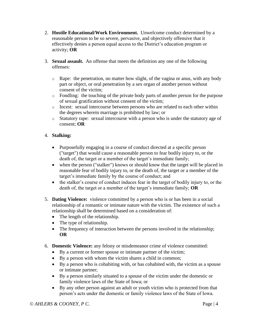- 2. **Hostile Educational/Work Environment.** Unwelcome conduct determined by a reasonable person to be so severe, pervasive, and objectively offensive that it effectively denies a person equal access to the District's education program or activity; **OR**
- 3. **Sexual assault.** An offense that meets the definition any one of the following offenses:
	- $\circ$  Rape: the penetration, no matter how slight, of the vagina or anus, with any body part or object, or oral penetration by a sex organ of another person without consent of the victim;
	- o Fondling: the touching of the private body parts of another person for the purpose of sexual gratification without consent of the victim;
	- o Incest: sexual intercourse between persons who are related to each other within the degrees wherein marriage is prohibited by law; or
	- o Statutory rape: sexual intercourse with a person who is under the statutory age of consent; **OR**

# 4. **Stalking:**

- Purposefully engaging in a course of conduct directed at a specific person ("target") that would cause a reasonable person to fear bodily injury to, or the death of, the target or a member of the target's immediate family;
- when the person ("stalker") knows or should know that the target will be placed in reasonable fear of bodily injury to, or the death of, the target or a member of the target's immediate family by the course of conduct; and
- the stalker's course of conduct induces fear in the target of bodily injury to, or the death of, the target or a member of the target's immediate family; **OR**
- 5. **Dating Violence:** violence committed by a person who is or has been in a social relationship of a romantic or intimate nature with the victim. The existence of such a relationship shall be determined based on a consideration of:
	- The length of the relationship.
	- The type of relationship.
	- The frequency of interaction between the persons involved in the relationship; **OR**
- 6. **Domestic Violence:** any felony or misdemeanor crime of violence committed:
	- By a current or former spouse or intimate partner of the victim;
	- By a person with whom the victim shares a child in common;
	- By a person who is cohabiting with, or has cohabited with, the victim as a spouse or intimate partner;
	- By a person similarly situated to a spouse of the victim under the domestic or family violence laws of the State of Iowa; or
	- By any other person against an adult or youth victim who is protected from that person's acts under the domestic or family violence laws of the State of Iowa.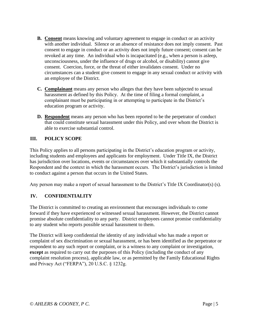- **B. Consent** means knowing and voluntary agreement to engage in conduct or an activity with another individual. Silence or an absence of resistance does not imply consent. Past consent to engage in conduct or an activity does not imply future consent; consent can be revoked at any time. An individual who is incapacitated (e.g., when a person is asleep, unconsciousness, under the influence of drugs or alcohol, or disability) cannot give consent. Coercion, force, or the threat of either invalidates consent. Under no circumstances can a student give consent to engage in any sexual conduct or activity with an employee of the District.
- **C. Complainant** means any person who alleges that they have been subjected to sexual harassment as defined by this Policy. At the time of filing a formal complaint, a complainant must be participating in or attempting to participate in the District's education program or activity.
- **D. Respondent** means any person who has been reported to be the perpetrator of conduct that could constitute sexual harassment under this Policy, and over whom the District is able to exercise substantial control.

# <span id="page-4-0"></span>**III. POLICY SCOPE**

This Policy applies to all persons participating in the District's education program or activity, including students and employees and applicants for employment. Under Title IX, the District has jurisdiction over locations, events or circumstances over which it substantially controls the Respondent and the context in which the harassment occurs. The District's jurisdiction is limited to conduct against a person that occurs in the United States.

Any person may make a report of sexual harassment to the District's Title IX Coordinator(s) (s).

## <span id="page-4-1"></span>**IV. CONFIDENTIALITY**

The District is committed to creating an environment that encourages individuals to come forward if they have experienced or witnessed sexual harassment. However, the District cannot promise absolute confidentiality to any party. District employees cannot promise confidentiality to any student who reports possible sexual harassment to them.

The District will keep confidential the identity of any individual who has made a report or complaint of sex discrimination or sexual harassment, or has been identified as the perpetrator or respondent to any such report or complaint, or is a witness to any complaint or investigation, **except** as required to carry out the purposes of this Policy (including the conduct of any complaint resolution process), applicable law, or as permitted by the Family Educational Rights and Privacy Act ("FERPA"), 20 U.S.C. § 1232g.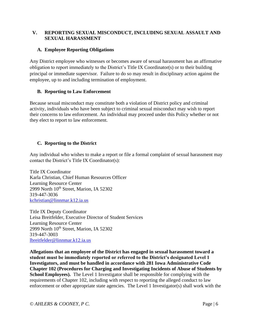## <span id="page-5-0"></span>**V. REPORTING SEXUAL MISCONDUCT, INCLUDING SEXUAL ASSAULT AND SEXUAL HARASSMENT**

## <span id="page-5-1"></span>**A. Employee Reporting Obligations**

Any District employee who witnesses or becomes aware of sexual harassment has an affirmative obligation to report immediately to the District's Title IX Coordinator(s) or to their building principal or immediate supervisor. Failure to do so may result in disciplinary action against the employee, up to and including termination of employment.

## <span id="page-5-2"></span>**B. Reporting to Law Enforcement**

Because sexual misconduct may constitute both a violation of District policy and criminal activity, individuals who have been subject to criminal sexual misconduct may wish to report their concerns to law enforcement. An individual may proceed under this Policy whether or not they elect to report to law enforcement.

# <span id="page-5-3"></span>**C. Reporting to the District**

Any individual who wishes to make a report or file a formal complaint of sexual harassment may contact the District's Title IX Coordinator(s):

Title IX Coordinator Karla Christian, Chief Human Resources Officer Learning Resource Center 2999 North 10<sup>th</sup> Street, Marion, IA 52302 319-447-3036 [kchristian@linnmar.k12.ia.us](mailto:kchristian@linnmar.k12.ia.us)

Title IX Deputy Coordinator Leisa Breitfelder, Executive Director of Student Services Learning Resource Center 2999 North 10<sup>th</sup> Street, Marion, IA 52302 319-447-3003 [lbreitfelder@linnmar.k12.ia.us](mailto:lbreitfelder@linnmar.k12.ia.us)

**Allegations that an employee of the District has engaged in sexual harassment toward a student must be immediately reported or referred to the District's designated Level 1 Investigators, and must be handled in accordance with 281 Iowa Administrative Code Chapter 102 (Procedures for Charging and Investigating Incidents of Abuse of Students by School Employees).** The Level 1 Investigator shall be responsible for complying with the requirements of Chapter 102, including with respect to reporting the alleged conduct to law enforcement or other appropriate state agencies. The Level 1 Investigator(s) shall work with the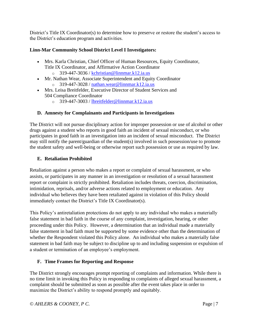District's Title IX Coordinator(s) to determine how to preserve or restore the student's access to the District's education program and activities.

## **Linn-Mar Community School District Level I Investigators:**

- Mrs. Karla Christian, Chief Officer of Human Resources, Equity Coordinator, Title IX Coordinator, and Affirmative Action Coordinator
	- $\degree$  319-447-3036 / [kchristian@linnmar.k12.ia.us](mailto:kchristian@linnmar.k12.ia.us)
- Mr. Nathan Wear, Associate Superintendent and Equity Coordinator  $\degree$  319-447-3028 / [nathan.wear@linnmar.k12.ia.us](mailto:nathan.wear@linnmar.k12.ia.us)
- Mrs. Leisa Breitfelder, Executive Director of Student Services and 504 Compliance Coordinator
	- o 319-447-3003 / [lbreitfelder@linnmar.k12.ia.us](mailto:lbreitfelder@linnmar.k12.ia.us)

## <span id="page-6-0"></span>**D. Amnesty for Complainants and Participants in Investigations**

The District will not pursue disciplinary action for improper possession or use of alcohol or other drugs against a student who reports in good faith an incident of sexual misconduct, or who participates in good faith in an investigation into an incident of sexual misconduct. The District may still notify the parent/guardian of the student(s) involved in such possession/use to promote the student safety and well-being or otherwise report such possession or use as required by law.

## <span id="page-6-1"></span>**E. Retaliation Prohibited**

Retaliation against a person who makes a report or complaint of sexual harassment, or who assists, or participates in any manner in an investigation or resolution of a sexual harassment report or complaint is strictly prohibited. Retaliation includes threats, coercion, discrimination, intimidation, reprisals, and/or adverse actions related to employment or education. Any individual who believes they have been retaliated against in violation of this Policy should immediately contact the District's Title IX Coordinator(s).

This Policy's antiretaliation protections do not apply to any individual who makes a materially false statement in bad faith in the course of any complaint, investigation, hearing, or other proceeding under this Policy. However, a determination that an individual made a materially false statement in bad faith must be supported by some evidence other than the determination of whether the Respondent violated this Policy alone. An individual who makes a materially false statement in bad faith may be subject to discipline up to and including suspension or expulsion of a student or termination of an employee's employment.

## <span id="page-6-2"></span>**F. Time Frames for Reporting and Response**

The District strongly encourages prompt reporting of complaints and information. While there is no time limit in invoking this Policy in responding to complaints of alleged sexual harassment, a complaint should be submitted as soon as possible after the event takes place in order to maximize the District's ability to respond promptly and equitably.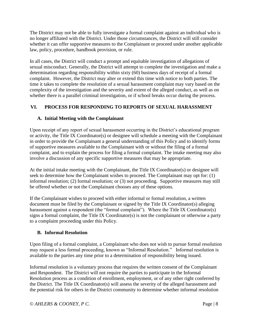The District may not be able to fully investigate a formal complaint against an individual who is no longer affiliated with the District. Under those circumstances, the District will still consider whether it can offer supportive measures to the Complainant or proceed under another applicable law, policy, procedure, handbook provision, or rule.

In all cases, the District will conduct a prompt and equitable investigation of allegations of sexual misconduct. Generally, the District will attempt to complete the investigation and make a determination regarding responsibility within sixty (60) business days of receipt of a formal complaint. However, the District may alter or extend this time with notice to both parties. The time it takes to complete the resolution of a sexual harassment complaint may vary based on the complexity of the investigation and the severity and extent of the alleged conduct, as well as on whether there is a parallel criminal investigation, or if school breaks occur during the process.

# <span id="page-7-0"></span>**VI. PROCESS FOR RESPONDING TO REPORTS OF SEXUAL HARASSMENT**

# <span id="page-7-1"></span>**A. Initial Meeting with the Complainant**

Upon receipt of any report of sexual harassment occurring in the District's educational program or activity, the Title IX Coordinator(s) or designee will schedule a meeting with the Complainant in order to provide the Complainant a general understanding of this Policy and to identify forms of supportive measures available to the Complainant with or without the filing of a formal complaint, and to explain the process for filing a formal complaint. The intake meeting may also involve a discussion of any specific supportive measures that may be appropriate.

At the initial intake meeting with the Complainant, the Title IX Coordinator(s) or designee will seek to determine how the Complainant wishes to proceed. The Complainant may opt for: (1) informal resolution; (2) formal resolution; or (3) not proceeding. Supportive measures may still be offered whether or not the Complainant chooses any of these options.

If the Complainant wishes to proceed with either informal or formal resolution, a written document must be filed by the Complainant or signed by the Title IX Coordinator(s) alleging harassment against a respondent (the "formal complaint"). Where the Title IX Coordinator(s) signs a formal complaint, the Title IX Coordinator(s) is not the complainant or otherwise a party to a complaint proceeding under this Policy.

# <span id="page-7-2"></span>**B. Informal Resolution**

Upon filing of a formal complaint, a Complainant who does not wish to pursue formal resolution may request a less formal proceeding, known as "Informal Resolution." Informal resolution is available to the parties any time prior to a determination of responsibility being issued.

Informal resolution is a voluntary process that requires the written consent of the Complainant and Respondent. The District will not require the parties to participate in the Informal Resolution process as a condition of enrollment, employment, or of any other right conferred by the District. The Title IX Coordinator(s) will assess the severity of the alleged harassment and the potential risk for others in the District community to determine whether informal resolution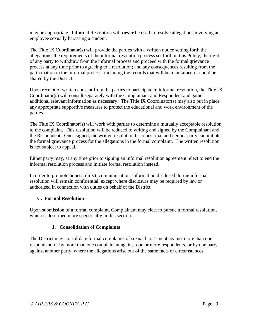may be appropriate. Informal Resolution will **never** be used to resolve allegations involving an employee sexually harassing a student.

The Title IX Coordinator(s) will provide the parties with a written notice setting forth the allegations, the requirements of the informal resolution process set forth in this Policy, the right of any party to withdraw from the informal process and proceed with the formal grievance process at any time prior to agreeing to a resolution; and any consequences resulting from the participation in the informal process, including the records that will be maintained or could be shared by the District.

Upon receipt of written consent from the parties to participate in informal resolution, the Title IX Coordinator(s) will consult separately with the Complainant and Respondent and gather additional relevant information as necessary. The Title IX Coordinator(s) may also put in place any appropriate supportive measures to protect the educational and work environment of the parties.

The Title IX Coordinator(s) will work with parties to determine a mutually acceptable resolution to the complaint. This resolution will be reduced to writing and signed by the Complainant and the Respondent. Once signed, the written resolution becomes final and neither party can initiate the formal grievance process for the allegations in the formal complaint. The written resolution is not subject to appeal.

Either party may, at any time prior to signing an informal resolution agreement, elect to end the informal resolution process and initiate formal resolution instead.

In order to promote honest, direct, communication, information disclosed during informal resolution will remain confidential, except where disclosure may be required by law or authorized in connection with duties on behalf of the District.

## <span id="page-8-0"></span>**C. Formal Resolution**

Upon submission of a formal complaint, Complainant may elect to pursue a formal resolution, which is described more specifically in this section.

# **1. Consolidation of Complaints**

The District may consolidate formal complaints of sexual harassment against more than one respondent, or by more than one complainant against one or more respondents, or by one party against another party, where the allegations arise out of the same facts or circumstances.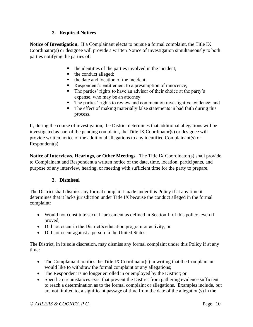## **2. Required Notices**

**Notice of Investigation.** If a Complainant elects to pursue a formal complaint, the Title IX Coordinator(s) or designee will provide a written Notice of Investigation simultaneously to both parties notifying the parties of:

- the identities of the parties involved in the incident;
- the conduct alleged;
- the date and location of the incident:
- Respondent's entitlement to a presumption of innocence;
- The parties' rights to have an advisor of their choice at the party's expense, who may be an attorney;
- **•** The parties' rights to review and comment on investigative evidence; and
- The effect of making materially false statements in bad faith during this process.

If, during the course of investigation, the District determines that additional allegations will be investigated as part of the pending complaint, the Title IX Coordinator(s) or designee will provide written notice of the additional allegations to any identified Complainant(s) or Respondent(s).

**Notice of Interviews, Hearings, or Other Meetings.** The Title IX Coordinator(s) shall provide to Complainant and Respondent a written notice of the date, time, location, participants, and purpose of any interview, hearing, or meeting with sufficient time for the party to prepare.

# **3. Dismissal**

The District shall dismiss any formal complaint made under this Policy if at any time it determines that it lacks jurisdiction under Title IX because the conduct alleged in the formal complaint:

- Would not constitute sexual harassment as defined in Section II of this policy, even if proved,
- Did not occur in the District's education program or activity; or
- Did not occur against a person in the United States.

The District, in its sole discretion, may dismiss any formal complaint under this Policy if at any time:

- The Complainant notifies the Title IX Coordinator(s) in writing that the Complainant would like to withdraw the formal complaint or any allegations;
- The Respondent is no longer enrolled in or employed by the District; or
- Specific circumstances exist that prevent the District from gathering evidence sufficient to reach a determination as to the formal complaint or allegations. Examples include, but are not limited to, a significant passage of time from the date of the allegation(s) in the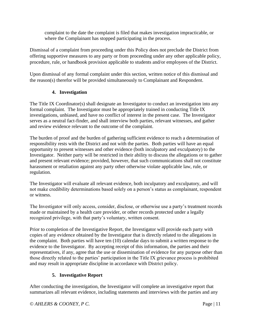complaint to the date the complaint is filed that makes investigation impracticable, or where the Complainant has stopped participating in the process.

Dismissal of a complaint from proceeding under this Policy does not preclude the District from offering supportive measures to any party or from proceeding under any other applicable policy, procedure, rule, or handbook provision applicable to students and/or employees of the District.

Upon dismissal of any formal complaint under this section, written notice of this dismissal and the reason(s) therefor will be provided simultaneously to Complainant and Respondent.

## **4. Investigation**

The Title IX Coordinator(s) shall designate an Investigator to conduct an investigation into any formal complaint. The Investigator must be appropriately trained in conducting Title IX investigations, unbiased, and have no conflict of interest in the present case. The Investigator serves as a neutral fact-finder, and shall interview both parties, relevant witnesses, and gather and review evidence relevant to the outcome of the complaint.

The burden of proof and the burden of gathering sufficient evidence to reach a determination of responsibility rests with the District and not with the parties. Both parties will have an equal opportunity to present witnesses and other evidence (both inculpatory and exculpatory) to the Investigator. Neither party will be restricted in their ability to discuss the allegations or to gather and present relevant evidence; provided, however, that such communications shall not constitute harassment or retaliation against any party other otherwise violate applicable law, rule, or regulation.

The Investigator will evaluate all relevant evidence, both inculpatory and exculpatory, and will not make credibility determinations based solely on a person's status as complainant, respondent or witness.

The Investigator will only access, consider, disclose, or otherwise use a party's treatment records made or maintained by a health care provider, or other records protected under a legally recognized privilege, with that party's voluntary, written consent.

Prior to completion of the Investigative Report, the Investigator will provide each party with copies of any evidence obtained by the Investigator that is directly related to the allegations in the complaint. Both parties will have ten (10) calendar days to submit a written response to the evidence to the Investigator. By accepting receipt of this information, the parties and their representatives, if any, agree that the use or dissemination of evidence for any purpose other than those directly related to the parties' participation in the Title IX grievance process is prohibited and may result in appropriate discipline in accordance with District policy.

# **5. Investigative Report**

After conducting the investigation, the Investigator will complete an investigative report that summarizes all relevant evidence, including statements and interviews with the parties and any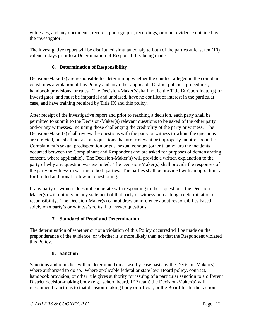witnesses, and any documents, records, photographs, recordings, or other evidence obtained by the investigator.

The investigative report will be distributed simultaneously to both of the parties at least ten (10) calendar days prior to a Determination of Responsibility being made.

# **6. Determination of Responsibility**

Decision-Maker(s) are responsible for determining whether the conduct alleged in the complaint constitutes a violation of this Policy and any other applicable District policies, procedures, handbook provisions, or rules. The Decision-Maker(s)shall not be the Title IX Coordinator(s) or Investigator, and must be impartial and unbiased, have no conflict of interest in the particular case, and have training required by Title IX and this policy.

After receipt of the investigative report and prior to reaching a decision, each party shall be permitted to submit to the Decision-Maker(s) relevant questions to be asked of the other party and/or any witnesses, including those challenging the credibility of the party or witness. The Decision-Maker(s) shall review the questions with the party or witness to whom the questions are directed, but shall not ask any questions that are irrelevant or improperly inquire about the Complainant's sexual predisposition or past sexual conduct (other than where the incidents occurred between the Complainant and Respondent and are asked for purposes of demonstrating consent, where applicable). The Decision-Maker(s) will provide a written explanation to the party of why any question was excluded. The Decision-Maker(s) shall provide the responses of the party or witness in writing to both parties. The parties shall be provided with an opportunity for limited additional follow-up questioning.

If any party or witness does not cooperate with responding to these questions, the Decision-Maker(s) will not rely on any statement of that party or witness in reaching a determination of responsibility. The Decision-Maker(s) cannot draw an inference about responsibility based solely on a party's or witness's refusal to answer questions.

# **7. Standard of Proof and Determination**

The determination of whether or not a violation of this Policy occurred will be made on the preponderance of the evidence, or whether it is more likely than not that the Respondent violated this Policy.

# **8. Sanction**

Sanctions and remedies will be determined on a case-by-case basis by the Decision-Maker(s), where authorized to do so. Where applicable federal or state law, Board policy, contract, handbook provision, or other rule gives authority for issuing of a particular sanction to a different District decision-making body (e.g., school board, IEP team) the Decision-Maker(s) will recommend sanctions to that decision-making body or official, or the Board for further action.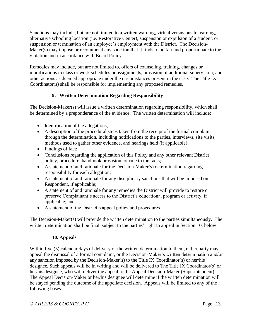Sanctions may include, but are not limited to a written warning, virtual versus onsite learning, alternative schooling location (i.e. Restorative Center), suspension or expulsion of a student, or suspension or termination of an employee's employment with the District. The Decision-Maker(s) may impose or recommend any sanction that it finds to be fair and proportionate to the violation and in accordance with Board Policy.

Remedies may include, but are not limited to, offers of counseling, training, changes or modifications to class or work schedules or assignments, provision of additional supervision, and other actions as deemed appropriate under the circumstances present in the case. The Title IX Coordinator(s) shall be responsible for implementing any proposed remedies.

# **9. Written Determination Regarding Responsibility**

The Decision-Maker(s) will issue a written determination regarding responsibility, which shall be determined by a preponderance of the evidence. The written determination will include:

- Identification of the allegations;
- A description of the procedural steps taken from the receipt of the formal complaint through the determination, including notifications to the parties, interviews, site visits, methods used to gather other evidence, and hearings held (if applicable);
- Findings of fact;
- Conclusions regarding the application of this Policy and any other relevant District policy, procedure, handbook provision, or rule to the facts;
- A statement of and rationale for the Decision-Maker(s) determination regarding responsibility for each allegation;
- A statement of and rationale for any disciplinary sanctions that will be imposed on Respondent, if applicable;
- A statement of and rationale for any remedies the District will provide to restore or preserve Complainant's access to the District's educational program or activity, if applicable; and
- A statement of the District's appeal policy and procedures.

The Decision-Maker(s) will provide the written determination to the parties simultaneously. The written determination shall be final, subject to the parties' right to appeal in Section 10, below.

# **10. Appeals**

Within five (5) calendar days of delivery of the written determination to them, either party may appeal the dismissal of a formal complaint, or the Decision-Maker's written determination and/or any sanction imposed by the Decision-Maker(s) to the Title IX Coordinator(s) or her/his designee. Such appeals will be in writing and will be delivered to The Title IX Coordinator(s) or her/his designee, who will deliver the appeal to the Appeal Decision-Maker (Superintendent). The Appeal Decision-Maker or her/his designee will determine if the written determination will be stayed pending the outcome of the appellate decision. Appeals will be limited to any of the following bases: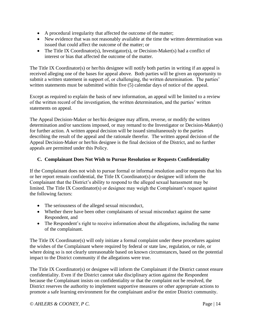- A procedural irregularity that affected the outcome of the matter;
- New evidence that was not reasonably available at the time the written determination was issued that could affect the outcome of the matter; or
- The Title IX Coordinator(s), Investigator(s), or Decision-Maker(s) had a conflict of interest or bias that affected the outcome of the matter.

The Title IX Coordinator(s) or her/his designee will notify both parties in writing if an appeal is received alleging one of the bases for appeal above. Both parties will be given an opportunity to submit a written statement in support of, or challenging, the written determination. The parties' written statements must be submitted within five (5) calendar days of notice of the appeal.

Except as required to explain the basis of new information, an appeal will be limited to a review of the written record of the investigation, the written determination, and the parties' written statements on appeal.

The Appeal Decision-Maker or her/his designee may affirm, reverse, or modify the written determination and/or sanctions imposed, or may remand to the Investigator or Decision-Maker(s) for further action. A written appeal decision will be issued simultaneously to the parties describing the result of the appeal and the rationale therefor. The written appeal decision of the Appeal Decision-Maker or her/his designee is the final decision of the District, and no further appeals are permitted under this Policy.

## <span id="page-13-0"></span>**C. Complainant Does Not Wish to Pursue Resolution or Requests Confidentiality**

If the Complainant does not wish to pursue formal or informal resolution and/or requests that his or her report remain confidential, the Title IX Coordinator(s) or designee will inform the Complainant that the District's ability to respond to the alleged sexual harassment may be limited. The Title IX Coordinator(s) or designee may weigh the Complainant's request against the following factors:

- The seriousness of the alleged sexual misconduct,
- Whether there have been other complainants of sexual misconduct against the same Respondent, and
- The Respondent's right to receive information about the allegations, including the name of the complainant.

The Title IX Coordinator(s) will only initiate a formal complaint under these procedures against the wishes of the Complainant where required by federal or state law, regulation, or rule, or where doing so is not clearly unreasonable based on known circumstances, based on the potential impact to the District community if the allegations were true.

The Title IX Coordinator(s) or designee will inform the Complainant if the District cannot ensure confidentiality. Even if the District cannot take disciplinary action against the Respondent because the Complainant insists on confidentiality or that the complaint not be resolved, the District reserves the authority to implement supportive measures or other appropriate actions to promote a safe learning environment for the complainant and/or the entire District community.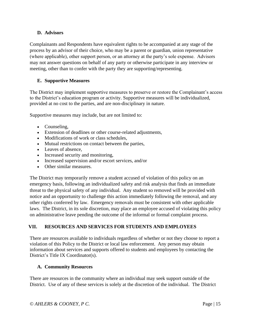## <span id="page-14-0"></span>**D. Advisors**

Complainants and Respondents have equivalent rights to be accompanied at any stage of the process by an advisor of their choice, who may be a parent or guardian, union representative (where applicable), other support person, or an attorney at the party's sole expense. Advisors may not answer questions on behalf of any party or otherwise participate in any interview or meeting, other than to confer with the party they are supporting/representing.

## <span id="page-14-1"></span>**E. Supportive Measures**

The District may implement supportive measures to preserve or restore the Complainant's access to the District's education program or activity. Supportive measures will be individualized, provided at no cost to the parties, and are non-disciplinary in nature.

Supportive measures may include, but are not limited to:

- Counseling,
- Extension of deadlines or other course-related adjustments,
- Modifications of work or class schedules,
- Mutual restrictions on contact between the parties,
- Leaves of absence,
- Increased security and monitoring,
- Increased supervision and/or escort services, and/or
- Other similar measures.

The District may temporarily remove a student accused of violation of this policy on an emergency basis, following an individualized safety and risk analysis that finds an immediate threat to the physical safety of any individual. Any student so removed will be provided with notice and an opportunity to challenge this action immediately following the removal, and any other rights conferred by law. Emergency removals must be consistent with other applicable laws. The District, in its sole discretion, may place an employee accused of violating this policy on administrative leave pending the outcome of the informal or formal complaint process.

# <span id="page-14-2"></span>**VII. RESOURCES AND SERVICES FOR STUDENTS AND EMPLOYEES**

There are resources available to individuals regardless of whether or not they choose to report a violation of this Policy to the District or local law enforcement. Any person may obtain information about services and supports offered to students and employees by contacting the District's Title IX Coordinator(s).

## **A. Community Resources**

There are resources in the community where an individual may seek support outside of the District. Use of any of these services is solely at the discretion of the individual. The District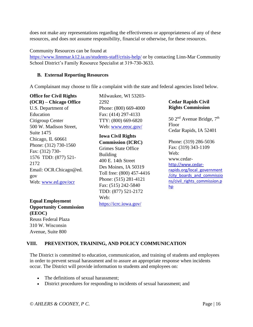does not make any representations regarding the effectiveness or appropriateness of any of these resources, and does not assume responsibility, financial or otherwise, for these resources.

#### Community Resources can be found at

<https://www.linnmar.k12.ia.us/students-staff/crisis-help/> or by contacting Linn-Mar Community School District's Family Resource Specialist at 319-730-3633.

#### **B. External Reporting Resources**

A Complainant may choose to file a complaint with the state and federal agencies listed below.

**Office for Civil Rights (OCR) – Chicago Office** U.S. Department of Education Citigroup Center 500 W. Madison Street, Suite 1475 Chicago, IL 60661 Phone: (312) 730-1560 Fax: (312) 730- 1576 TDD: (877) 521- 2172 Email: OCR.Chicago@ed. gov Web: [www.ed.gov/ocr](http://www.ed.gov/ocr)

**Equal Employment Opportunity Commission (EEOC)** Reuss Federal Plaza 310 W. Wisconsin Avenue, Suite 800

Milwaukee, WI 53203- 2292 Phone: (800) 669-4000 Fax: (414) 297-4133 TTY: (800) 669-6820 Web: [www.eeoc.gov/](http://www.eeoc.gov/)

**Iowa Civil Rights Commission (ICRC)** Grimes State Office Building 400 E. 14th Street Des Moines, IA 50319 Toll free: (800) 457-4416 Phone: (515) 281-4121 Fax: (515) 242-5840 TDD: (877) 521-2172 Web: [https://icrc.iowa.gov/](http://icrc.iowa.gov/) 

#### **Cedar Rapids Civil Rights Commission**

 $50$  2<sup>nd</sup> Avenue Bridge,  $7<sup>th</sup>$ Floor Cedar Rapids, IA 52401

Phone: (319) 286-5036 Fax: (319) 343-1109 Web: www.cedar[http://www.cedar](http://www.cedar-rapids.org/local_government/city_boards_and_commissions/civil_rights_commission.php)[rapids.org/local\\_government](http://www.cedar-rapids.org/local_government/city_boards_and_commissions/civil_rights_commission.php) [/city\\_boards\\_and\\_commissio](http://www.cedar-rapids.org/local_government/city_boards_and_commissions/civil_rights_commission.php) [ns/civil\\_rights\\_commission.p](http://www.cedar-rapids.org/local_government/city_boards_and_commissions/civil_rights_commission.php) [hp](http://www.cedar-rapids.org/local_government/city_boards_and_commissions/civil_rights_commission.php)

## <span id="page-15-0"></span>**VIII. PREVENTION, TRAINING, AND POLICY COMMUNICATION**

The District is committed to education, communication, and training of students and employees in order to prevent sexual harassment and to assure an appropriate response when incidents occur. The District will provide information to students and employees on:

- The definitions of sexual harassment:
- District procedures for responding to incidents of sexual harassment; and